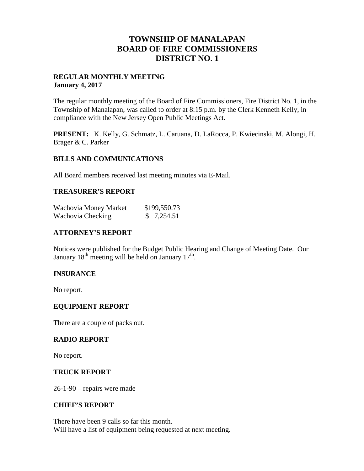## **TOWNSHIP OF MANALAPAN BOARD OF FIRE COMMISSIONERS DISTRICT NO. 1**

### **REGULAR MONTHLY MEETING January 4, 2017**

The regular monthly meeting of the Board of Fire Commissioners, Fire District No. 1, in the Township of Manalapan, was called to order at 8:15 p.m. by the Clerk Kenneth Kelly, in compliance with the New Jersey Open Public Meetings Act.

**PRESENT:** K. Kelly, G. Schmatz, L. Caruana, D. LaRocca, P. Kwiecinski, M. Alongi, H. Brager & C. Parker

### **BILLS AND COMMUNICATIONS**

All Board members received last meeting minutes via E-Mail.

### **TREASURER'S REPORT**

| Wachovia Money Market | \$199,550.73 |
|-----------------------|--------------|
| Wachovia Checking     | \$7,254.51   |

## **ATTORNEY'S REPORT**

Notices were published for the Budget Public Hearing and Change of Meeting Date. Our January  $18<sup>th</sup>$  meeting will be held on January  $17<sup>th</sup>$ .

## **INSURANCE**

No report.

### **EQUIPMENT REPORT**

There are a couple of packs out.

### **RADIO REPORT**

No report.

### **TRUCK REPORT**

26-1-90 – repairs were made

### **CHIEF'S REPORT**

There have been 9 calls so far this month. Will have a list of equipment being requested at next meeting.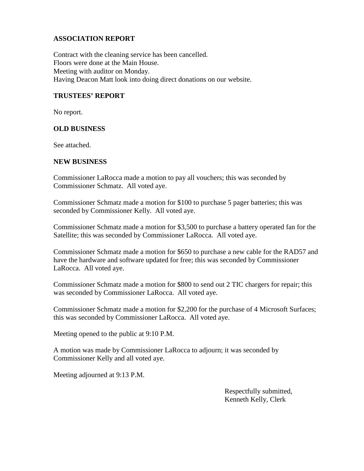## **ASSOCIATION REPORT**

Contract with the cleaning service has been cancelled. Floors were done at the Main House. Meeting with auditor on Monday. Having Deacon Matt look into doing direct donations on our website.

## **TRUSTEES' REPORT**

No report.

#### **OLD BUSINESS**

See attached.

#### **NEW BUSINESS**

Commissioner LaRocca made a motion to pay all vouchers; this was seconded by Commissioner Schmatz. All voted aye.

Commissioner Schmatz made a motion for \$100 to purchase 5 pager batteries; this was seconded by Commissioner Kelly. All voted aye.

Commissioner Schmatz made a motion for \$3,500 to purchase a battery operated fan for the Satellite; this was seconded by Commissioner LaRocca. All voted aye.

Commissioner Schmatz made a motion for \$650 to purchase a new cable for the RAD57 and have the hardware and software updated for free; this was seconded by Commissioner LaRocca. All voted aye.

Commissioner Schmatz made a motion for \$800 to send out 2 TIC chargers for repair; this was seconded by Commissioner LaRocca. All voted aye.

Commissioner Schmatz made a motion for \$2,200 for the purchase of 4 Microsoft Surfaces; this was seconded by Commissioner LaRocca. All voted aye.

Meeting opened to the public at 9:10 P.M.

A motion was made by Commissioner LaRocca to adjourn; it was seconded by Commissioner Kelly and all voted aye.

Meeting adjourned at 9:13 P.M.

Respectfully submitted, Kenneth Kelly, Clerk